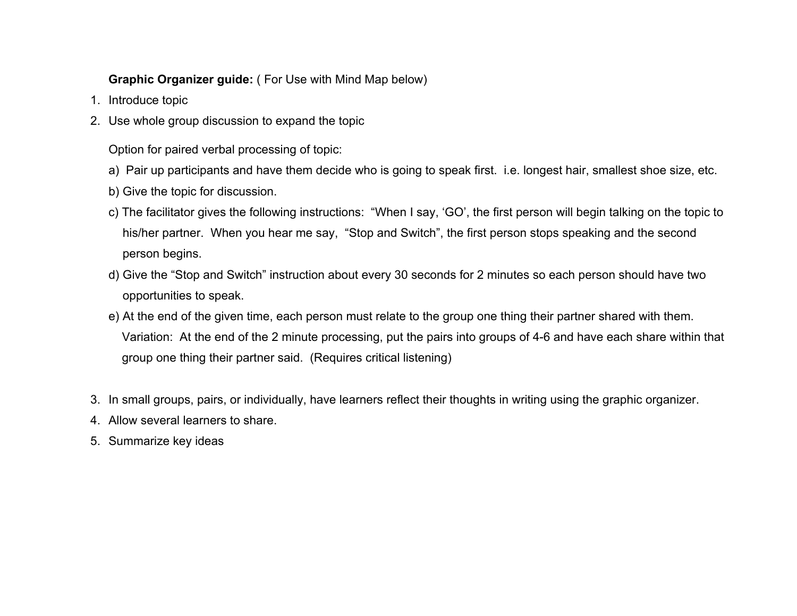## **Graphic Organizer guide:** ( For Use with Mind Map below)

- 1. Introduce topic
- 2. Use whole group discussion to expand the topic

Option for paired verbal processing of topic:

- a) Pair up participants and have them decide who is going to speak first. i.e. longest hair, smallest shoe size, etc.
- b) Give the topic for discussion.
- c) The facilitator gives the following instructions: "When I say, 'GO', the first person will begin talking on the topic to his/her partner. When you hear me say, "Stop and Switch", the first person stops speaking and the second person begins.
- d) Give the "Stop and Switch" instruction about every 30 seconds for 2 minutes so each person should have two opportunities to speak.
- e) At the end of the given time, each person must relate to the group one thing their partner shared with them. Variation: At the end of the 2 minute processing, put the pairs into groups of 4-6 and have each share within that group one thing their partner said. (Requires critical listening)
- 3. In small groups, pairs, or individually, have learners reflect their thoughts in writing using the graphic organizer.
- 4. Allow several learners to share.
- 5. Summarize key ideas